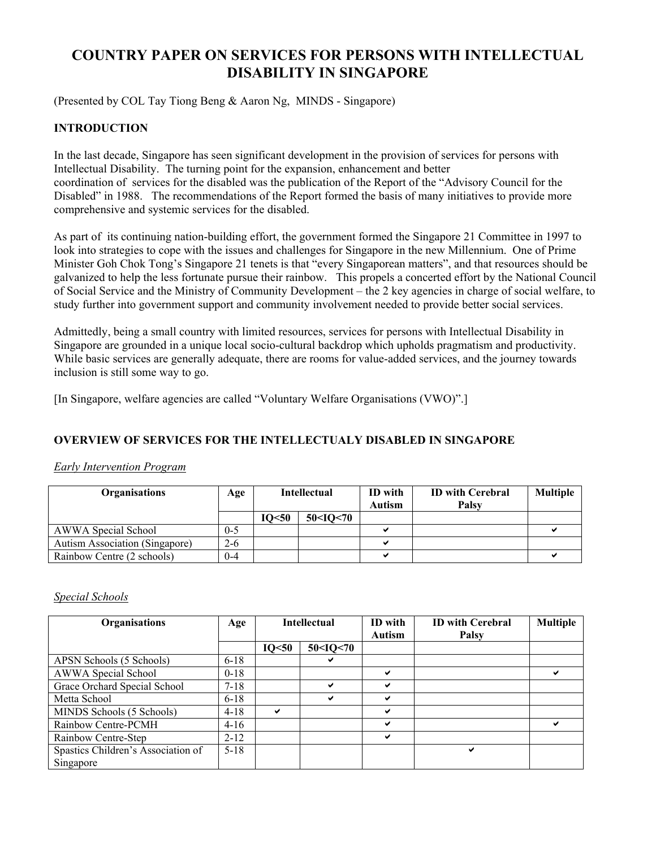# **COUNTRY PAPER ON SERVICES FOR PERSONS WITH INTELLECTUAL DISABILITY IN SINGAPORE**

(Presented by COL Tay Tiong Beng & Aaron Ng, MINDS - Singapore)

## **INTRODUCTION**

In the last decade, Singapore has seen significant development in the provision of services for persons with Intellectual Disability. The turning point for the expansion, enhancement and better coordination of services for the disabled was the publication of the Report of the "Advisory Council for the Disabled" in 1988. The recommendations of the Report formed the basis of many initiatives to provide more comprehensive and systemic services for the disabled.

As part of its continuing nation-building effort, the government formed the Singapore 21 Committee in 1997 to look into strategies to cope with the issues and challenges for Singapore in the new Millennium. One of Prime Minister Goh Chok Tong's Singapore 21 tenets is that "every Singaporean matters", and that resources should be galvanized to help the less fortunate pursue their rainbow. This propels a concerted effort by the National Council of Social Service and the Ministry of Community Development – the 2 key agencies in charge of social welfare, to study further into government support and community involvement needed to provide better social services.

Admittedly, being a small country with limited resources, services for persons with Intellectual Disability in Singapore are grounded in a unique local socio-cultural backdrop which upholds pragmatism and productivity. While basic services are generally adequate, there are rooms for value-added services, and the journey towards inclusion is still some way to go.

[In Singapore, welfare agencies are called "Voluntary Welfare Organisations (VWO)".]

## **OVERVIEW OF SERVICES FOR THE INTELLECTUALY DISABLED IN SINGAPORE**

#### *Early Intervention Program*

| <b>Organisations</b>                  | Age     | <b>Intellectual</b> |          | ID with       | <b>ID</b> with Cerebral | <b>Multiple</b> |
|---------------------------------------|---------|---------------------|----------|---------------|-------------------------|-----------------|
|                                       |         |                     |          | <b>Autism</b> | Palsy                   |                 |
|                                       |         | IO<50               | 50<10<70 |               |                         |                 |
| AWWA Special School                   | $0 - 5$ |                     |          |               |                         |                 |
| <b>Autism Association (Singapore)</b> | $2 - 6$ |                     |          |               |                         |                 |
| Rainbow Centre (2 schools)            | $0 - 4$ |                     |          |               |                         |                 |

*Special Schools*

| <b>Organisations</b>               | Age      | <b>Intellectual</b> |                                                       | ID with      | <b>ID with Cerebral</b> | <b>Multiple</b> |
|------------------------------------|----------|---------------------|-------------------------------------------------------|--------------|-------------------------|-----------------|
|                                    |          |                     |                                                       | Autism       | <b>Palsy</b>            |                 |
|                                    |          | IO<50               | 50 <iq<70< th=""><th></th><th></th><th></th></iq<70<> |              |                         |                 |
| APSN Schools (5 Schools)           | $6 - 18$ |                     |                                                       |              |                         |                 |
| AWWA Special School                | $0-18$   |                     |                                                       | ✔            |                         |                 |
| Grace Orchard Special School       | $7 - 18$ |                     | ✔                                                     | $\checkmark$ |                         |                 |
| Metta School                       | $6 - 18$ |                     | ✔                                                     | ✔            |                         |                 |
| MINDS Schools (5 Schools)          | $4 - 18$ | ✔                   |                                                       | ✔            |                         |                 |
| Rainbow Centre-PCMH                | $4-16$   |                     |                                                       | ✔            |                         | ✔               |
| Rainbow Centre-Step                | $2 - 12$ |                     |                                                       | ✔            |                         |                 |
| Spastics Children's Association of | $5 - 18$ |                     |                                                       |              | ✔                       |                 |
| Singapore                          |          |                     |                                                       |              |                         |                 |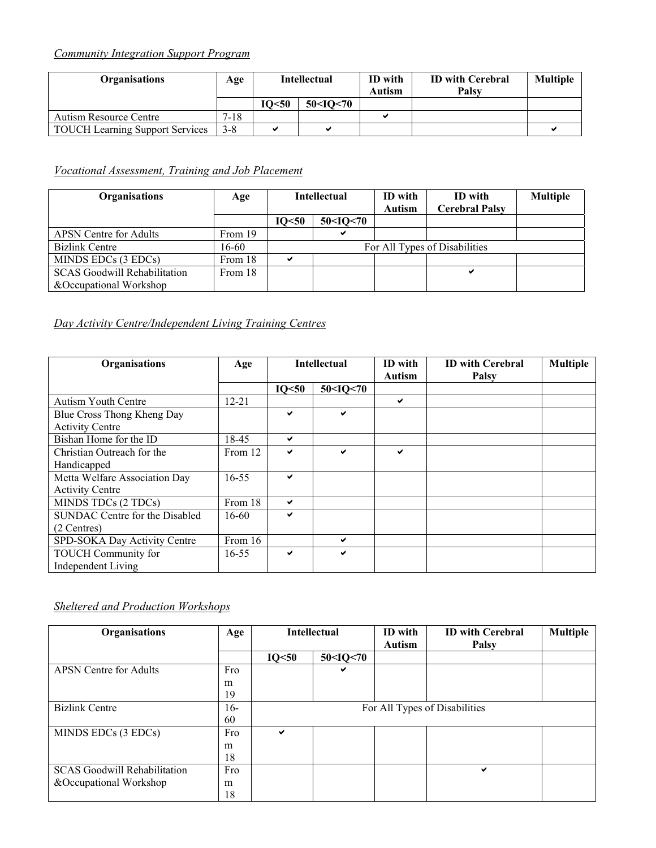# *Community Integration Support Program*

| Organisations                          | Age      | <b>Intellectual</b> |                                                       | ID with<br>Autism | <b>ID</b> with Cerebral<br>Palsv | <b>Multiple</b> |
|----------------------------------------|----------|---------------------|-------------------------------------------------------|-------------------|----------------------------------|-----------------|
|                                        |          | IO<50               | 50 <io<70< th=""><th></th><th></th><th></th></io<70<> |                   |                                  |                 |
| Autism Resource Centre                 | $7 - 18$ |                     |                                                       |                   |                                  |                 |
| <b>TOUCH Learning Support Services</b> | $3 - 8$  |                     |                                                       |                   |                                  |                 |

# *Vocational Assessment, Training and Job Placement*

| <b>Organisations</b>                | Age     |       | <b>Intellectual</b>                                   | ID with<br><b>Autism</b> | <b>ID</b> with<br><b>Cerebral Palsy</b> | <b>Multiple</b> |
|-------------------------------------|---------|-------|-------------------------------------------------------|--------------------------|-----------------------------------------|-----------------|
|                                     |         | IO<50 | 50 <iq<70< th=""><th></th><th></th><th></th></iq<70<> |                          |                                         |                 |
| <b>APSN</b> Centre for Adults       | From 19 |       |                                                       |                          |                                         |                 |
| <b>Bizlink Centre</b>               | 16-60   |       |                                                       |                          | For All Types of Disabilities           |                 |
| MINDS EDCs (3 EDCs)                 | From 18 | ◡     |                                                       |                          |                                         |                 |
| <b>SCAS Goodwill Rehabilitation</b> | From 18 |       |                                                       |                          | ✔                                       |                 |
| & Occupational Workshop             |         |       |                                                       |                          |                                         |                 |

# *Day Activity Centre/Independent Living Training Centres*

| Organisations                                           | Age       | <b>Intellectual</b> |                                                       | ID with<br><b>Autism</b> | <b>ID with Cerebral</b><br>Palsy | <b>Multiple</b> |
|---------------------------------------------------------|-----------|---------------------|-------------------------------------------------------|--------------------------|----------------------------------|-----------------|
|                                                         |           | IO<50               | 50 <iq<70< th=""><th></th><th></th><th></th></iq<70<> |                          |                                  |                 |
| <b>Autism Youth Centre</b>                              | $12 - 21$ |                     |                                                       | $\checkmark$             |                                  |                 |
| Blue Cross Thong Kheng Day<br><b>Activity Centre</b>    |           | ✓                   | ✔                                                     |                          |                                  |                 |
| Bishan Home for the ID                                  | 18-45     | ✔                   |                                                       |                          |                                  |                 |
| Christian Outreach for the<br>Handicapped               | From 12   | ✔                   | ✔                                                     | $\checkmark$             |                                  |                 |
| Metta Welfare Association Day<br><b>Activity Centre</b> | $16 - 55$ | ✔                   |                                                       |                          |                                  |                 |
| MINDS TDCs (2 TDCs)                                     | From 18   | ✔                   |                                                       |                          |                                  |                 |
| SUNDAC Centre for the Disabled<br>(2 Centres)           | $16-60$   | ✔                   |                                                       |                          |                                  |                 |
| SPD-SOKA Day Activity Centre                            | From 16   |                     | ✔                                                     |                          |                                  |                 |
| <b>TOUCH Community for</b><br><b>Independent Living</b> | $16 - 55$ | ✔                   | ✔                                                     |                          |                                  |                 |

# *Sheltered and Production Workshops*

| Organisations                       | Age   |       | <b>Intellectual</b>                                   | ID with       | <b>ID with Cerebral</b>       | <b>Multiple</b> |
|-------------------------------------|-------|-------|-------------------------------------------------------|---------------|-------------------------------|-----------------|
|                                     |       |       |                                                       | <b>Autism</b> | <b>Palsy</b>                  |                 |
|                                     |       | IO<50 | 50 <iq<70< th=""><th></th><th></th><th></th></iq<70<> |               |                               |                 |
| <b>APSN</b> Centre for Adults       | Fro   |       | ✔                                                     |               |                               |                 |
|                                     | m     |       |                                                       |               |                               |                 |
|                                     | 19    |       |                                                       |               |                               |                 |
| <b>Bizlink Centre</b>               | $16-$ |       |                                                       |               | For All Types of Disabilities |                 |
|                                     | 60    |       |                                                       |               |                               |                 |
| MINDS EDCs (3 EDCs)                 | Fro   | ✓     |                                                       |               |                               |                 |
|                                     | m     |       |                                                       |               |                               |                 |
|                                     | 18    |       |                                                       |               |                               |                 |
| <b>SCAS</b> Goodwill Rehabilitation | Fro   |       |                                                       |               | ✔                             |                 |
| &Occupational Workshop              | m     |       |                                                       |               |                               |                 |
|                                     | 18    |       |                                                       |               |                               |                 |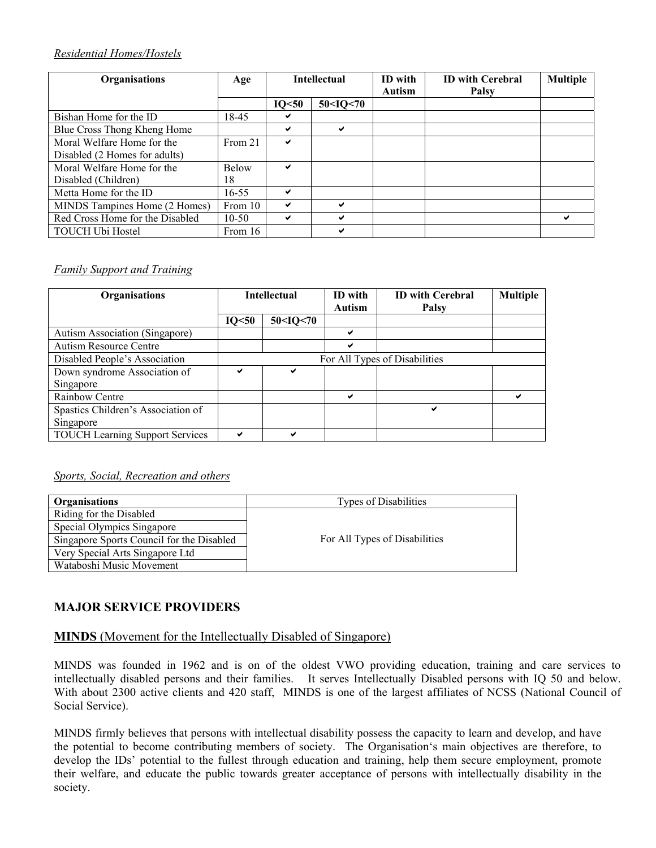## *Residential Homes/Hostels*

| Organisations                   | Age          | <b>Intellectual</b> |                                                       | ID with<br>Autism | <b>ID with Cerebral</b><br>Palsy | <b>Multiple</b> |
|---------------------------------|--------------|---------------------|-------------------------------------------------------|-------------------|----------------------------------|-----------------|
|                                 |              | IO<50               | 50 <iq<70< th=""><th></th><th></th><th></th></iq<70<> |                   |                                  |                 |
| Bishan Home for the ID          | 18-45        | ✔                   |                                                       |                   |                                  |                 |
| Blue Cross Thong Kheng Home     |              | ✔                   | ✔                                                     |                   |                                  |                 |
| Moral Welfare Home for the      | From 21      | ✔                   |                                                       |                   |                                  |                 |
| Disabled (2 Homes for adults)   |              |                     |                                                       |                   |                                  |                 |
| Moral Welfare Home for the      | <b>Below</b> | ✔                   |                                                       |                   |                                  |                 |
| Disabled (Children)             | 18           |                     |                                                       |                   |                                  |                 |
| Metta Home for the ID           | $16 - 55$    | ✔                   |                                                       |                   |                                  |                 |
| MINDS Tampines Home (2 Homes)   | From 10      | ✔                   | ✓                                                     |                   |                                  |                 |
| Red Cross Home for the Disabled | $10 - 50$    | ✔                   | ✓                                                     |                   |                                  | ✔               |
| <b>TOUCH Ubi Hostel</b>         | From 16      |                     | ✔                                                     |                   |                                  |                 |

## *Family Support and Training*

| Organisations                          | <b>Intellectual</b>           |                                                       | ID with | <b>ID with Cerebral</b> | <b>Multiple</b> |  |
|----------------------------------------|-------------------------------|-------------------------------------------------------|---------|-------------------------|-----------------|--|
|                                        |                               |                                                       | Autism  | Palsy                   |                 |  |
|                                        | IO<50                         | 50 <iq<70< th=""><th></th><th></th><th></th></iq<70<> |         |                         |                 |  |
| Autism Association (Singapore)         |                               |                                                       | ✔       |                         |                 |  |
| <b>Autism Resource Centre</b>          |                               |                                                       | ✔       |                         |                 |  |
| Disabled People's Association          | For All Types of Disabilities |                                                       |         |                         |                 |  |
| Down syndrome Association of           | ✔                             | ✔                                                     |         |                         |                 |  |
| Singapore                              |                               |                                                       |         |                         |                 |  |
| Rainbow Centre                         |                               |                                                       | ✔       |                         | ✔               |  |
| Spastics Children's Association of     |                               |                                                       |         | ✔                       |                 |  |
| Singapore                              |                               |                                                       |         |                         |                 |  |
| <b>TOUCH Learning Support Services</b> | ✔                             | ✔                                                     |         |                         |                 |  |

### *Sports, Social, Recreation and others*

| Organisations                             | <b>Types of Disabilities</b>  |
|-------------------------------------------|-------------------------------|
| Riding for the Disabled                   |                               |
| Special Olympics Singapore                |                               |
| Singapore Sports Council for the Disabled | For All Types of Disabilities |
| Very Special Arts Singapore Ltd           |                               |
| Wataboshi Music Movement                  |                               |

# **MAJOR SERVICE PROVIDERS**

# **MINDS** (Movement for the Intellectually Disabled of Singapore)

MINDS was founded in 1962 and is on of the oldest VWO providing education, training and care services to intellectually disabled persons and their families. It serves Intellectually Disabled persons with IQ 50 and below. With about 2300 active clients and 420 staff, MINDS is one of the largest affiliates of NCSS (National Council of Social Service).

MINDS firmly believes that persons with intellectual disability possess the capacity to learn and develop, and have the potential to become contributing members of society. The Organisation's main objectives are therefore, to develop the IDs' potential to the fullest through education and training, help them secure employment, promote their welfare, and educate the public towards greater acceptance of persons with intellectually disability in the society.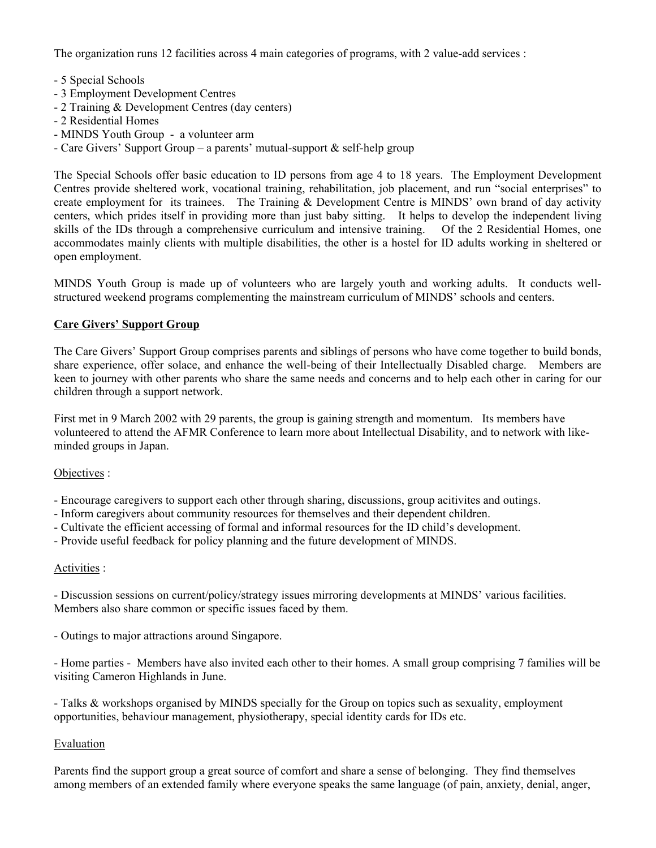The organization runs 12 facilities across 4 main categories of programs, with 2 value-add services :

- 5 Special Schools
- 3 Employment Development Centres
- 2 Training & Development Centres (day centers)
- 2 Residential Homes
- MINDS Youth Group a volunteer arm
- Care Givers' Support Group a parents' mutual-support & self-help group

The Special Schools offer basic education to ID persons from age 4 to 18 years. The Employment Development Centres provide sheltered work, vocational training, rehabilitation, job placement, and run "social enterprises" to create employment for its trainees. The Training & Development Centre is MINDS' own brand of day activity centers, which prides itself in providing more than just baby sitting. It helps to develop the independent living skills of the IDs through a comprehensive curriculum and intensive training. Of the 2 Residential Homes, one accommodates mainly clients with multiple disabilities, the other is a hostel for ID adults working in sheltered or open employment.

MINDS Youth Group is made up of volunteers who are largely youth and working adults. It conducts wellstructured weekend programs complementing the mainstream curriculum of MINDS' schools and centers.

## **Care Givers' Support Group**

The Care Givers' Support Group comprises parents and siblings of persons who have come together to build bonds, share experience, offer solace, and enhance the well-being of their Intellectually Disabled charge. Members are keen to journey with other parents who share the same needs and concerns and to help each other in caring for our children through a support network.

First met in 9 March 2002 with 29 parents, the group is gaining strength and momentum. Its members have volunteered to attend the AFMR Conference to learn more about Intellectual Disability, and to network with likeminded groups in Japan.

### Objectives :

- Encourage caregivers to support each other through sharing, discussions, group acitivites and outings.

- Inform caregivers about community resources for themselves and their dependent children.
- Cultivate the efficient accessing of formal and informal resources for the ID child's development.
- Provide useful feedback for policy planning and the future development of MINDS.

### Activities :

- Discussion sessions on current/policy/strategy issues mirroring developments at MINDS' various facilities. Members also share common or specific issues faced by them.

- Outings to major attractions around Singapore.

- Home parties - Members have also invited each other to their homes. A small group comprising 7 families will be visiting Cameron Highlands in June.

- Talks & workshops organised by MINDS specially for the Group on topics such as sexuality, employment opportunities, behaviour management, physiotherapy, special identity cards for IDs etc.

### Evaluation

Parents find the support group a great source of comfort and share a sense of belonging. They find themselves among members of an extended family where everyone speaks the same language (of pain, anxiety, denial, anger,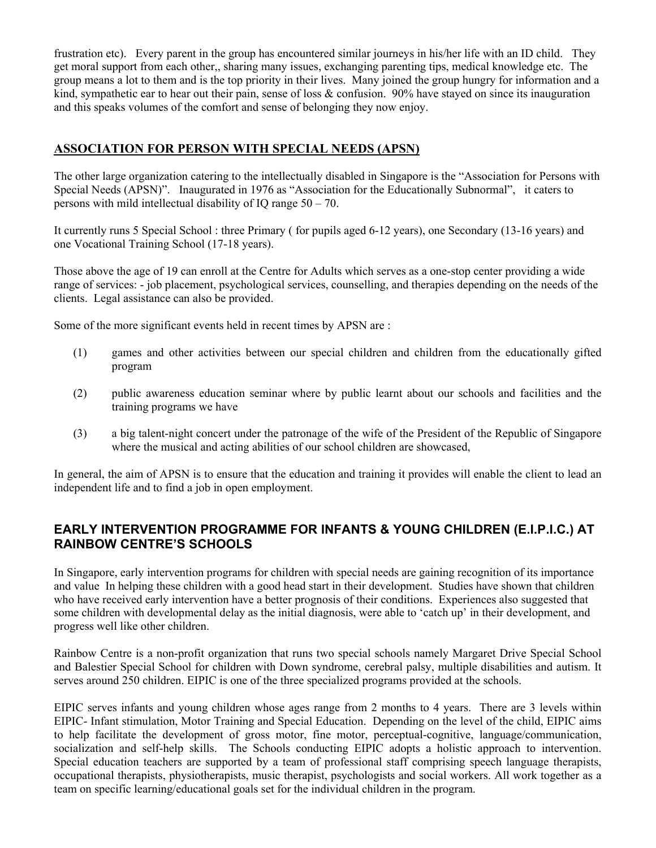frustration etc). Every parent in the group has encountered similar journeys in his/her life with an ID child. They get moral support from each other,, sharing many issues, exchanging parenting tips, medical knowledge etc. The group means a lot to them and is the top priority in their lives. Many joined the group hungry for information and a kind, sympathetic ear to hear out their pain, sense of loss & confusion. 90% have stayed on since its inauguration and this speaks volumes of the comfort and sense of belonging they now enjoy.

# **ASSOCIATION FOR PERSON WITH SPECIAL NEEDS (APSN)**

The other large organization catering to the intellectually disabled in Singapore is the "Association for Persons with Special Needs (APSN)". Inaugurated in 1976 as "Association for the Educationally Subnormal", it caters to persons with mild intellectual disability of IQ range 50 – 70.

It currently runs 5 Special School : three Primary ( for pupils aged 6-12 years), one Secondary (13-16 years) and one Vocational Training School (17-18 years).

Those above the age of 19 can enroll at the Centre for Adults which serves as a one-stop center providing a wide range of services: - job placement, psychological services, counselling, and therapies depending on the needs of the clients. Legal assistance can also be provided.

Some of the more significant events held in recent times by APSN are :

- (1) games and other activities between our special children and children from the educationally gifted program
- (2) public awareness education seminar where by public learnt about our schools and facilities and the training programs we have
- (3) a big talent-night concert under the patronage of the wife of the President of the Republic of Singapore where the musical and acting abilities of our school children are showcased,

In general, the aim of APSN is to ensure that the education and training it provides will enable the client to lead an independent life and to find a job in open employment.

# **EARLY INTERVENTION PROGRAMME FOR INFANTS & YOUNG CHILDREN (E.I.P.I.C.) AT RAINBOW CENTRE'S SCHOOLS**

In Singapore, early intervention programs for children with special needs are gaining recognition of its importance and value In helping these children with a good head start in their development. Studies have shown that children who have received early intervention have a better prognosis of their conditions. Experiences also suggested that some children with developmental delay as the initial diagnosis, were able to 'catch up' in their development, and progress well like other children.

Rainbow Centre is a non-profit organization that runs two special schools namely Margaret Drive Special School and Balestier Special School for children with Down syndrome, cerebral palsy, multiple disabilities and autism. It serves around 250 children. EIPIC is one of the three specialized programs provided at the schools.

EIPIC serves infants and young children whose ages range from 2 months to 4 years. There are 3 levels within EIPIC- Infant stimulation, Motor Training and Special Education. Depending on the level of the child, EIPIC aims to help facilitate the development of gross motor, fine motor, perceptual-cognitive, language/communication, socialization and self-help skills. The Schools conducting EIPIC adopts a holistic approach to intervention. Special education teachers are supported by a team of professional staff comprising speech language therapists, occupational therapists, physiotherapists, music therapist, psychologists and social workers. All work together as a team on specific learning/educational goals set for the individual children in the program.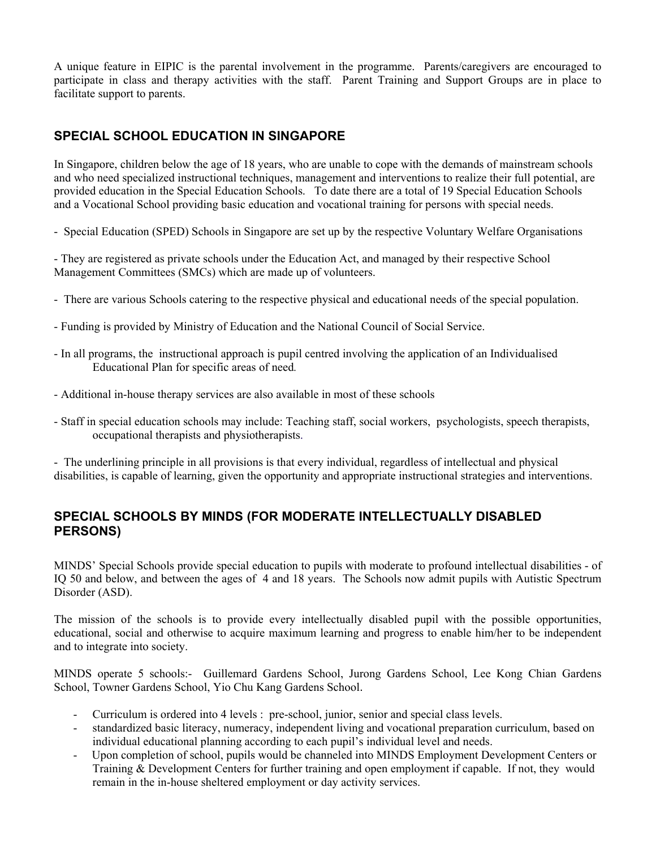A unique feature in EIPIC is the parental involvement in the programme. Parents/caregivers are encouraged to participate in class and therapy activities with the staff. Parent Training and Support Groups are in place to facilitate support to parents.

# **SPECIAL SCHOOL EDUCATION IN SINGAPORE**

In Singapore, children below the age of 18 years, who are unable to cope with the demands of mainstream schools and who need specialized instructional techniques, management and interventions to realize their full potential, are provided education in the Special Education Schools. To date there are a total of 19 Special Education Schools and a Vocational School providing basic education and vocational training for persons with special needs.

- Special Education (SPED) Schools in Singapore are set up by the respective Voluntary Welfare Organisations

- They are registered as private schools under the Education Act, and managed by their respective School Management Committees (SMCs) which are made up of volunteers.

- There are various Schools catering to the respective physical and educational needs of the special population.
- Funding is provided by Ministry of Education and the National Council of Social Service.
- In all programs, the instructional approach is pupil centred involving the application of an Individualised Educational Plan for specific areas of need*.*
- Additional in-house therapy services are also available in most of these schools
- Staff in special education schools may include: Teaching staff, social workers, psychologists, speech therapists, occupational therapists and physiotherapists.

- The underlining principle in all provisions is that every individual, regardless of intellectual and physical disabilities, is capable of learning, given the opportunity and appropriate instructional strategies and interventions.

# **SPECIAL SCHOOLS BY MINDS (FOR MODERATE INTELLECTUALLY DISABLED PERSONS)**

MINDS' Special Schools provide special education to pupils with moderate to profound intellectual disabilities - of IQ 50 and below, and between the ages of 4 and 18 years. The Schools now admit pupils with Autistic Spectrum Disorder (ASD).

The mission of the schools is to provide every intellectually disabled pupil with the possible opportunities, educational, social and otherwise to acquire maximum learning and progress to enable him/her to be independent and to integrate into society.

MINDS operate 5 schools:- Guillemard Gardens School, Jurong Gardens School, Lee Kong Chian Gardens School, Towner Gardens School, Yio Chu Kang Gardens School.

- Curriculum is ordered into 4 levels : pre-school, junior, senior and special class levels.
- standardized basic literacy, numeracy, independent living and vocational preparation curriculum, based on individual educational planning according to each pupil's individual level and needs.
- Upon completion of school, pupils would be channeled into MINDS Employment Development Centers or Training & Development Centers for further training and open employment if capable. If not, they would remain in the in-house sheltered employment or day activity services.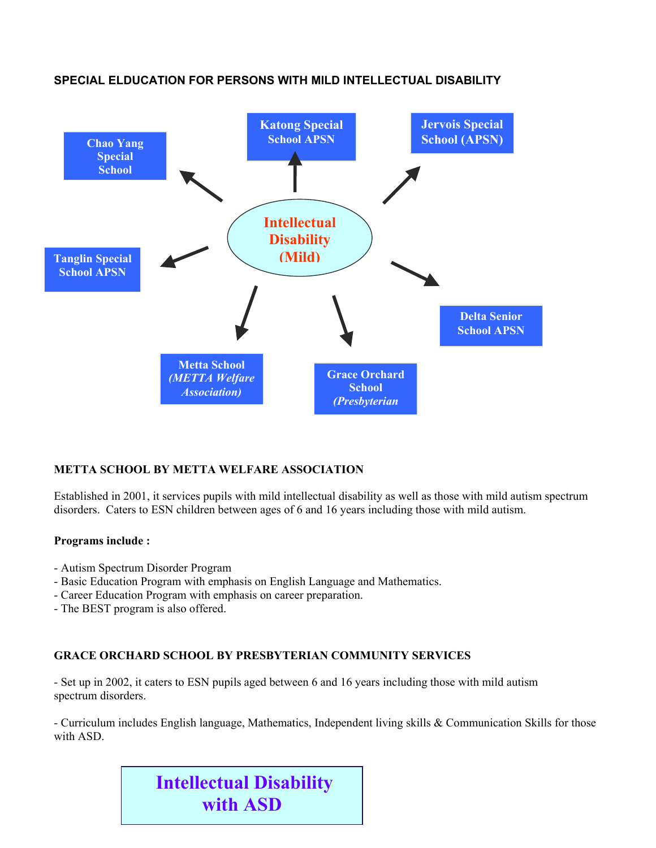

# **SPECIAL ELDUCATION FOR PERSONS WITH MILD INTELLECTUAL DISABILITY**

# **METTA SCHOOL BY METTA WELFARE ASSOCIATION**

Established in 2001, it services pupils with mild intellectual disability as well as those with mild autism spectrum disorders. Caters to ESN children between ages of 6 and 16 years including those with mild autism.

### **Programs include :**

- Autism Spectrum Disorder Program
- Basic Education Program with emphasis on English Language and Mathematics.
- Career Education Program with emphasis on career preparation.
- The BEST program is also offered.

## **GRACE ORCHARD SCHOOL BY PRESBYTERIAN COMMUNITY SERVICES**

- Set up in 2002, it caters to ESN pupils aged between 6 and 16 years including those with mild autism spectrum disorders.

- Curriculum includes English language, Mathematics, Independent living skills & Communication Skills for those with ASD.

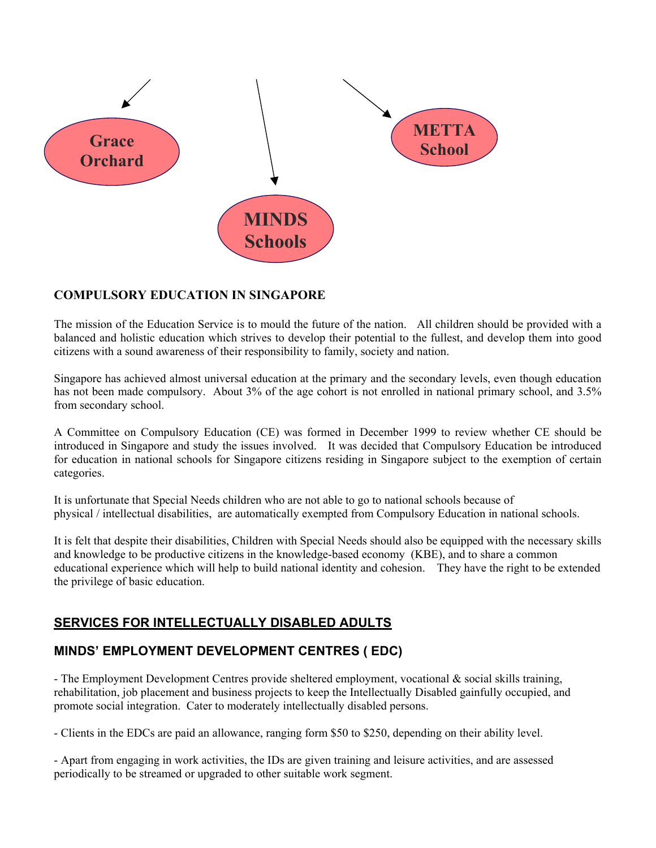

# **COMPULSORY EDUCATION IN SINGAPORE**

The mission of the Education Service is to mould the future of the nation. All children should be provided with a balanced and holistic education which strives to develop their potential to the fullest, and develop them into good citizens with a sound awareness of their responsibility to family, society and nation.

Singapore has achieved almost universal education at the primary and the secondary levels, even though education has not been made compulsory. About 3% of the age cohort is not enrolled in national primary school, and 3.5% from secondary school.

A Committee on Compulsory Education (CE) was formed in December 1999 to review whether CE should be introduced in Singapore and study the issues involved. It was decided that Compulsory Education be introduced for education in national schools for Singapore citizens residing in Singapore subject to the exemption of certain categories.

It is unfortunate that Special Needs children who are not able to go to national schools because of physical / intellectual disabilities, are automatically exempted from Compulsory Education in national schools.

It is felt that despite their disabilities, Children with Special Needs should also be equipped with the necessary skills and knowledge to be productive citizens in the knowledge-based economy (KBE), and to share a common educational experience which will help to build national identity and cohesion. They have the right to be extended the privilege of basic education.

# **SERVICES FOR INTELLECTUALLY DISABLED ADULTS**

# **MINDS' EMPLOYMENT DEVELOPMENT CENTRES ( EDC)**

- The Employment Development Centres provide sheltered employment, vocational & social skills training, rehabilitation, job placement and business projects to keep the Intellectually Disabled gainfully occupied, and promote social integration. Cater to moderately intellectually disabled persons.

- Clients in the EDCs are paid an allowance, ranging form \$50 to \$250, depending on their ability level.

- Apart from engaging in work activities, the IDs are given training and leisure activities, and are assessed periodically to be streamed or upgraded to other suitable work segment.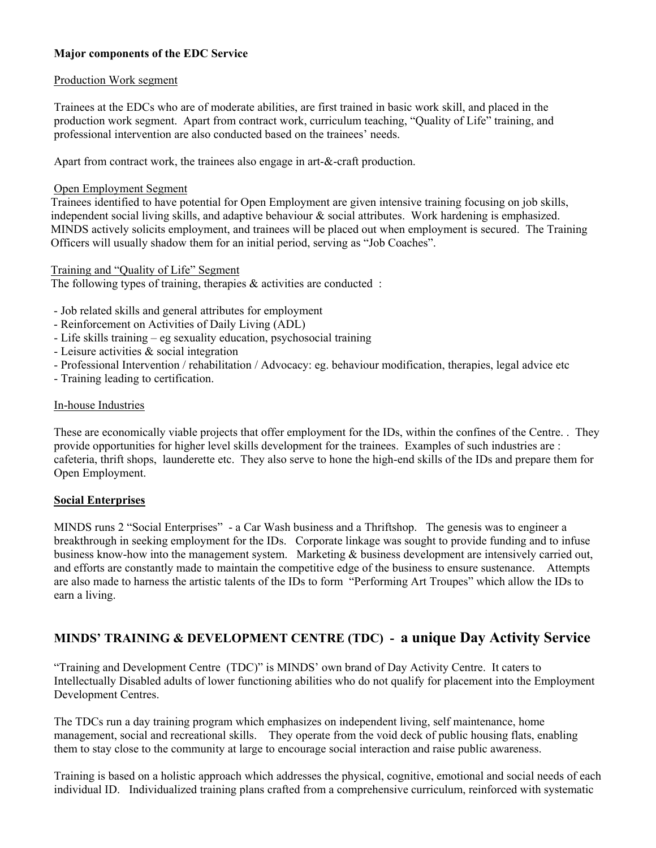## **Major components of the EDC Service**

### Production Work segment

Trainees at the EDCs who are of moderate abilities, are first trained in basic work skill, and placed in the production work segment. Apart from contract work, curriculum teaching, "Quality of Life" training, and professional intervention are also conducted based on the trainees' needs.

Apart from contract work, the trainees also engage in art-&-craft production.

### Open Employment Segment

 Trainees identified to have potential for Open Employment are given intensive training focusing on job skills, independent social living skills, and adaptive behaviour & social attributes. Work hardening is emphasized. MINDS actively solicits employment, and trainees will be placed out when employment is secured. The Training Officers will usually shadow them for an initial period, serving as "Job Coaches".

#### Training and "Quality of Life" Segment

The following types of training, therapies  $\&$  activities are conducted :

- Job related skills and general attributes for employment
- Reinforcement on Activities of Daily Living (ADL)
- Life skills training eg sexuality education, psychosocial training
- Leisure activities & social integration
- Professional Intervention / rehabilitation / Advocacy: eg. behaviour modification, therapies, legal advice etc
- Training leading to certification.

### In-house Industries

 These are economically viable projects that offer employment for the IDs, within the confines of the Centre. . They provide opportunities for higher level skills development for the trainees. Examples of such industries are : cafeteria, thrift shops, launderette etc. They also serve to hone the high-end skills of the IDs and prepare them for Open Employment.

### **Social Enterprises**

MINDS runs 2 "Social Enterprises" - a Car Wash business and a Thriftshop. The genesis was to engineer a breakthrough in seeking employment for the IDs. Corporate linkage was sought to provide funding and to infuse business know-how into the management system. Marketing & business development are intensively carried out, and efforts are constantly made to maintain the competitive edge of the business to ensure sustenance. Attempts are also made to harness the artistic talents of the IDs to form "Performing Art Troupes" which allow the IDs to earn a living.

# **MINDS' TRAINING & DEVELOPMENT CENTRE (TDC) - a unique Day Activity Service**

"Training and Development Centre (TDC)" is MINDS' own brand of Day Activity Centre. It caters to Intellectually Disabled adults of lower functioning abilities who do not qualify for placement into the Employment Development Centres.

The TDCs run a day training program which emphasizes on independent living, self maintenance, home management, social and recreational skills. They operate from the void deck of public housing flats, enabling them to stay close to the community at large to encourage social interaction and raise public awareness.

Training is based on a holistic approach which addresses the physical, cognitive, emotional and social needs of each individual ID. Individualized training plans crafted from a comprehensive curriculum, reinforced with systematic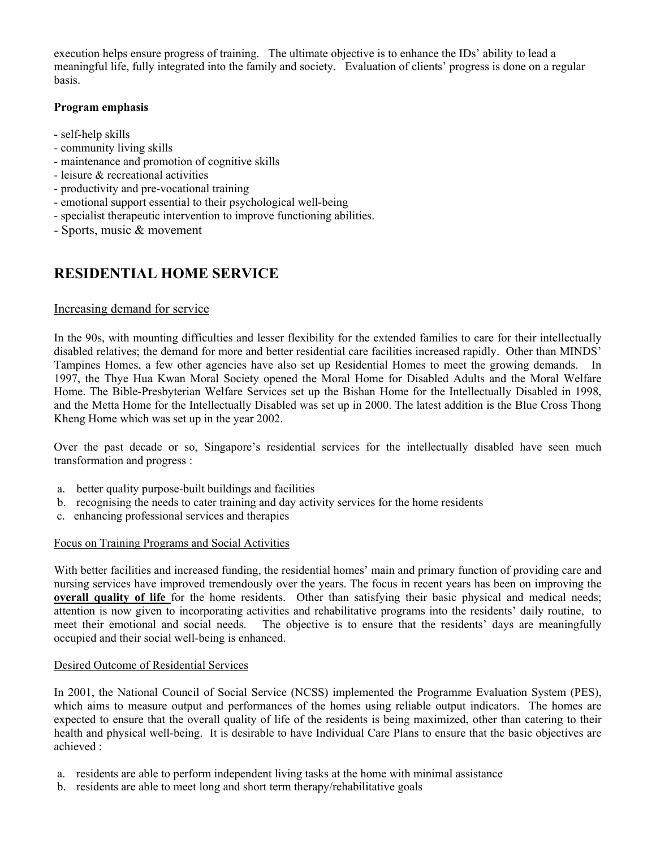execution helps ensure progress of training. The ultimate objective is to enhance the IDs' ability to lead a meaningful life, fully integrated into the family and society. Evaluation of clients' progress is done on a regular basis.

## **Program emphasis**

- self-help skills
- community living skills
- maintenance and promotion of cognitive skills
- leisure & recreational activities
- productivity and pre-vocational training
- emotional support essential to their psychological well-being
- specialist therapeutic intervention to improve functioning abilities.
- Sports, music & movement

# **RESIDENTIAL HOME SERVICE**

## Increasing demand for service

In the 90s, with mounting difficulties and lesser flexibility for the extended families to care for their intellectually disabled relatives; the demand for more and better residential care facilities increased rapidly. Other than MINDS' Tampines Homes, a few other agencies have also set up Residential Homes to meet the growing demands. In 1997, the Thye Hua Kwan Moral Society opened the Moral Home for Disabled Adults and the Moral Welfare Home. The Bible-Presbyterian Welfare Services set up the Bishan Home for the Intellectually Disabled in 1998, and the Metta Home for the Intellectually Disabled was set up in 2000. The latest addition is the Blue Cross Thong Kheng Home which was set up in the year 2002.

Over the past decade or so, Singapore's residential services for the intellectually disabled have seen much transformation and progress :

- a. better quality purpose-built buildings and facilities
- b. recognising the needs to cater training and day activity services for the home residents
- c. enhancing professional services and therapies

### Focus on Training Programs and Social Activities

With better facilities and increased funding, the residential homes' main and primary function of providing care and nursing services have improved tremendously over the years. The focus in recent years has been on improving the **overall quality of life** for the home residents. Other than satisfying their basic physical and medical needs; attention is now given to incorporating activities and rehabilitative programs into the residents' daily routine, to meet their emotional and social needs. The objective is to ensure that the residents' days are meaningfully occupied and their social well-being is enhanced.

### Desired Outcome of Residential Services

In 2001, the National Council of Social Service (NCSS) implemented the Programme Evaluation System (PES), which aims to measure output and performances of the homes using reliable output indicators. The homes are expected to ensure that the overall quality of life of the residents is being maximized, other than catering to their health and physical well-being. It is desirable to have Individual Care Plans to ensure that the basic objectives are achieved :

- a. residents are able to perform independent living tasks at the home with minimal assistance
- b. residents are able to meet long and short term therapy/rehabilitative goals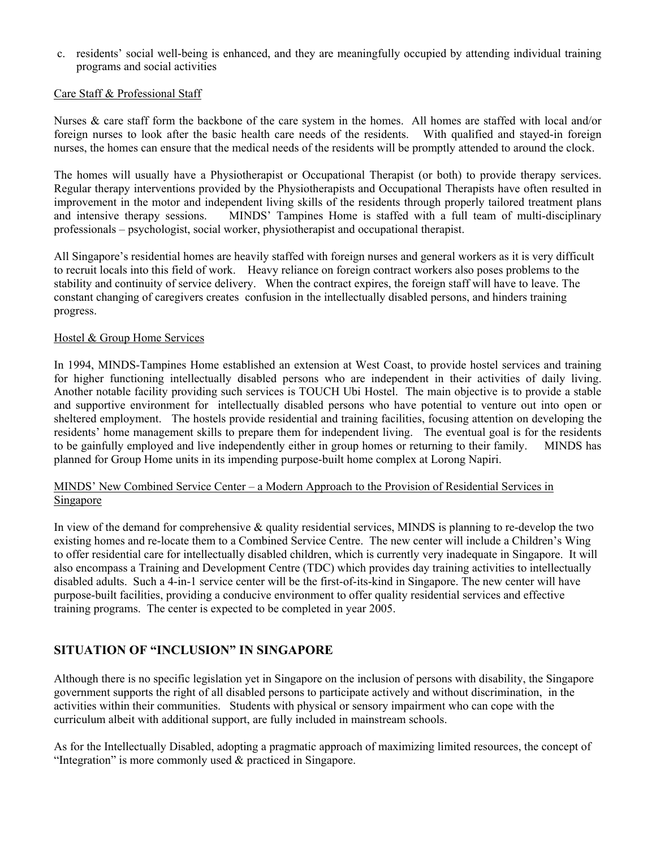c. residents' social well-being is enhanced, and they are meaningfully occupied by attending individual training programs and social activities

### Care Staff & Professional Staff

Nurses & care staff form the backbone of the care system in the homes. All homes are staffed with local and/or foreign nurses to look after the basic health care needs of the residents. With qualified and stayed-in foreign nurses, the homes can ensure that the medical needs of the residents will be promptly attended to around the clock.

The homes will usually have a Physiotherapist or Occupational Therapist (or both) to provide therapy services. Regular therapy interventions provided by the Physiotherapists and Occupational Therapists have often resulted in improvement in the motor and independent living skills of the residents through properly tailored treatment plans and intensive therapy sessions. MINDS' Tampines Home is staffed with a full team of multi-disciplinary professionals – psychologist, social worker, physiotherapist and occupational therapist.

All Singapore's residential homes are heavily staffed with foreign nurses and general workers as it is very difficult to recruit locals into this field of work. Heavy reliance on foreign contract workers also poses problems to the stability and continuity of service delivery. When the contract expires, the foreign staff will have to leave. The constant changing of caregivers creates confusion in the intellectually disabled persons, and hinders training progress.

### Hostel & Group Home Services

In 1994, MINDS-Tampines Home established an extension at West Coast, to provide hostel services and training for higher functioning intellectually disabled persons who are independent in their activities of daily living. Another notable facility providing such services is TOUCH Ubi Hostel. The main objective is to provide a stable and supportive environment for intellectually disabled persons who have potential to venture out into open or sheltered employment. The hostels provide residential and training facilities, focusing attention on developing the residents' home management skills to prepare them for independent living. The eventual goal is for the residents to be gainfully employed and live independently either in group homes or returning to their family. MINDS has planned for Group Home units in its impending purpose-built home complex at Lorong Napiri.

## MINDS' New Combined Service Center – a Modern Approach to the Provision of Residential Services in **Singapore**

In view of the demand for comprehensive & quality residential services, MINDS is planning to re-develop the two existing homes and re-locate them to a Combined Service Centre. The new center will include a Children's Wing to offer residential care for intellectually disabled children, which is currently very inadequate in Singapore. It will also encompass a Training and Development Centre (TDC) which provides day training activities to intellectually disabled adults. Such a 4-in-1 service center will be the first-of-its-kind in Singapore. The new center will have purpose-built facilities, providing a conducive environment to offer quality residential services and effective training programs. The center is expected to be completed in year 2005.

# **SITUATION OF "INCLUSION" IN SINGAPORE**

Although there is no specific legislation yet in Singapore on the inclusion of persons with disability, the Singapore government supports the right of all disabled persons to participate actively and without discrimination, in the activities within their communities. Students with physical or sensory impairment who can cope with the curriculum albeit with additional support, are fully included in mainstream schools.

As for the Intellectually Disabled, adopting a pragmatic approach of maximizing limited resources, the concept of "Integration" is more commonly used & practiced in Singapore.